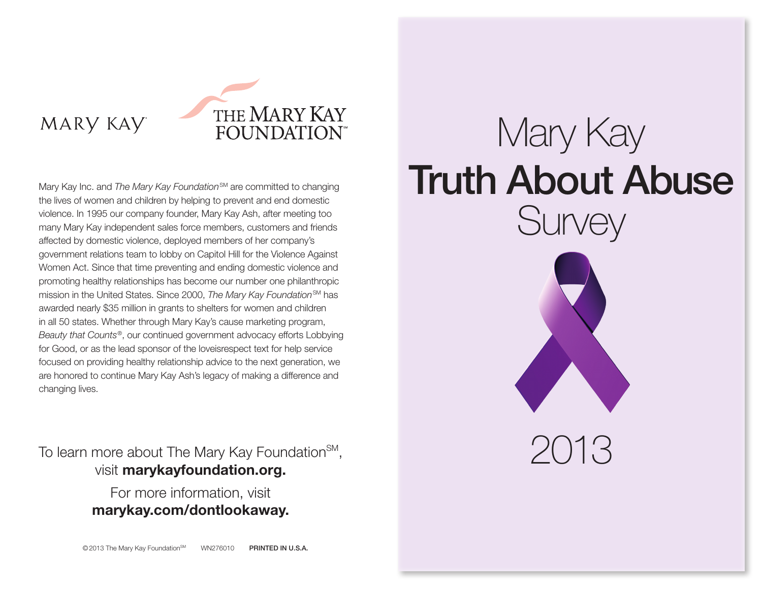### MARY KAY



Mary Kay Inc. and *The Mary Kay Foundation*<sup>SM</sup> are committed to changing the lives of women and children by helping to prevent and end domestic violence. In 1995 our company founder, Mary Kay Ash, after meeting too many Mary Kay independent sales force members, customers and friends affected by domestic violence, deployed members of her company's government relations team to lobby on Capitol Hill for the Violence Against Women Act. Since that time preventing and ending domestic violence and promoting healthy relationships has become our number one philanthropic mission in the United States. Since 2000, *The Mary Kay Foundation<sup>SM</sup>* has awarded nearly \$35 million in grants to shelters for women and children in all 50 states. Whether through Mary Kay's cause marketing program, *Beauty that Counts*®, our continued government advocacy efforts Lobbying for Good, or as the lead sponsor of the loveisrespect text for help service focused on providing healthy relationship advice to the next generation, we are honored to continue Mary Kay Ash's legacy of making a difference and changing lives.

To learn more about The Mary Kay Foundation<sup>SM</sup>, visit marykayfoundation.org.

> For more information, visit marykay.com/dontlookaway.

# Mary Kay Truth About Abuse **Survey**



2013